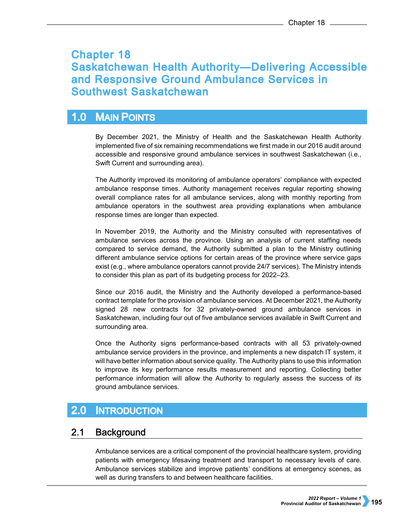# **Chapter 18 Saskatchewan Health Authority-Delivering Accessible** and Responsive Ground Ambulance Services in **Southwest Saskatchewan**

#### **MAIN POINTS**  $1.0$

By December 2021, the Ministry of Health and the Saskatchewan Health Authority implemented five of six remaining recommendations we first made in our 2016 audit around accessible and responsive ground ambulance services in southwest Saskatchewan (i.e., Swift Current and surrounding area).

The Authority improved its monitoring of ambulance operators' compliance with expected ambulance response times. Authority management receives regular reporting showing overall compliance rates for all ambulance services, along with monthly reporting from ambulance operators in the southwest area providing explanations when ambulance response times are longer than expected.

In November 2019, the Authority and the Ministry consulted with representatives of ambulance services across the province. Using an analysis of current staffing needs compared to service demand, the Authority submitted a plan to the Ministry outlining different ambulance service options for certain areas of the province where service gaps exist (e.g., where ambulance operators cannot provide 24/7 services). The Ministry intends to consider this plan as part of its budgeting process for 2022–23.

Since our 2016 audit, the Ministry and the Authority developed a performance-based contract template for the provision of ambulance services. At December 2021, the Authority signed 28 new contracts for 32 privately-owned ground ambulance services in Saskatchewan, including four out of five ambulance services available in Swift Current and surrounding area.

Once the Authority signs performance-based contracts with all 53 privately-owned ambulance service providers in the province, and implements a new dispatch IT system, it will have better information about service quality. The Authority plans to use this information to improve its key performance results measurement and reporting. Collecting better performance information will allow the Authority to regularly assess the success of its ground ambulance services.

#### $2.0$ **INTRODUCTION**

#### $2.1$ **Background**

Ambulance services are a critical component of the provincial healthcare system, providing patients with emergency lifesaving treatment and transport to necessary levels of care. Ambulance services stabilize and improve patients' conditions at emergency scenes, as well as during transfers to and between healthcare facilities.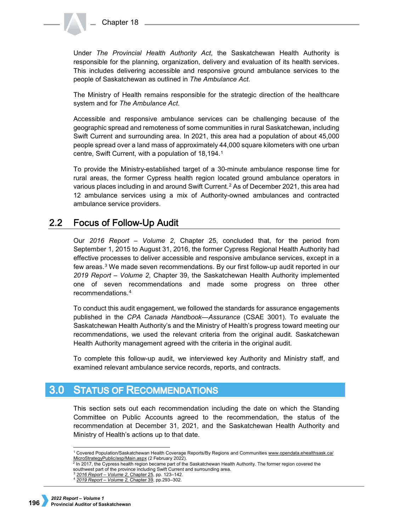Under *The Provincial Health Authority Act*, the Saskatchewan Health Authority is responsible for the planning, organization, delivery and evaluation of its health services. This includes delivering accessible and responsive ground ambulance services to the people of Saskatchewan as outlined in *The Ambulance Act*.

The Ministry of Health remains responsible for the strategic direction of the healthcare system and for *The Ambulance Act*.

Accessible and responsive ambulance services can be challenging because of the geographic spread and remoteness of some communities in rural Saskatchewan, including Swift Current and surrounding area. In 2021, this area had a population of about 45,000 people spread over a land mass of approximately 44,000 square kilometers with one urban centre, Swift Current, with a population of 18,194.[1](#page-1-0) 

To provide the Ministry-established target of a 30-minute ambulance response time for rural areas, the former Cypress health region located ground ambulance operators in various places including in and around Swift Current.[2](#page-1-1) As of December 2021, this area had 12 ambulance services using a mix of Authority-owned ambulances and contracted ambulance service providers.

#### $2.2$ **Focus of Follow-Up Audit**

Our *2016 Report – Volume 2*, Chapter 25, concluded that, for the period from September 1, 2015 to August 31, 2016, the former Cypress Regional Health Authority had effective processes to deliver accessible and responsive ambulance services, except in a few areas.[3](#page-1-2) We made seven recommendations. By our first follow-up audit reported in our *2019 Report – Volume 2*, Chapter 39, the Saskatchewan Health Authority implemented one of seven recommendations and made some progress on three other recommendations.[4](#page-1-3)

To conduct this audit engagement, we followed the standards for assurance engagements published in the *CPA Canada Handbook—Assurance* (CSAE 3001). To evaluate the Saskatchewan Health Authority's and the Ministry of Health's progress toward meeting our recommendations, we used the relevant criteria from the original audit. Saskatchewan Health Authority management agreed with the criteria in the original audit.

To complete this follow-up audit, we interviewed key Authority and Ministry staff, and examined relevant ambulance service records, reports, and contracts.

## **3.0 STATUS OF RECOMMENDATIONS**

This section sets out each recommendation including the date on which the Standing Committee on Public Accounts agreed to the recommendation, the status of the recommendation at December 31, 2021, and the Saskatchewan Health Authority and Ministry of Health's actions up to that date.

<span id="page-1-0"></span> <sup>1</sup> Covered Population/Saskatchewan Health Coverage Reports/By Regions and Communities [www.opendata.ehealthsask.ca/](http://www.opendata.ehealthsask.ca/%20MicroStrategyPublic/asp/Main.aspx)  [MicroStrategyPublic/asp/Main.aspx](http://www.opendata.ehealthsask.ca/%20MicroStrategyPublic/asp/Main.aspx) (2 February 2022).

<span id="page-1-1"></span> $^2$  In 2017, the Cypress health region became part of the Saskatchewan Health Authority. The former region covered the southwest part of the province including Swift Current and surrounding area.

<span id="page-1-3"></span><span id="page-1-2"></span><sup>3</sup> *[2016 Report – Volume 2](https://auditor.sk.ca/pub/publications/public_reports/2016/Volume_2/25_Cypress%20RHA_Ambulance.pdf)*, Chapter 25, pp. 123–142.

<sup>4</sup> *[2019 Report – Volume 2,](https://auditor.sk.ca/pub/publications/public_reports/2019/Volume_2/Chapter%2039%20-%20Saskatchewan%20Health%20Authority%C3%A2%E2%82%AC%E2%80%9DDelivering%20Accessible%20and%20Responsive%20Ground%20Ambulance%20Services%20in%20Southwest%20Saskatchewan.pdf)* Chapter 39, pp.293–302.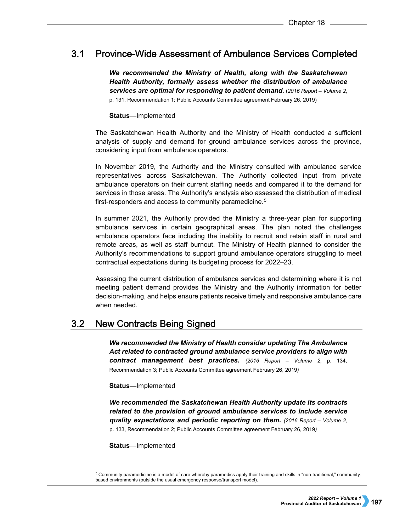#### $3.1$ **Province-Wide Assessment of Ambulance Services Completed**

*We recommended the Ministry of Health, along with the Saskatchewan Health Authority, formally assess whether the distribution of ambulance services are optimal for responding to patient demand.* (*2016 Report – Volume 2*, p. 131, Recommendation 1; Public Accounts Committee agreement February 26, 2019)

**Status**—Implemented

The Saskatchewan Health Authority and the Ministry of Health conducted a sufficient analysis of supply and demand for ground ambulance services across the province, considering input from ambulance operators.

In November 2019, the Authority and the Ministry consulted with ambulance service representatives across Saskatchewan. The Authority collected input from private ambulance operators on their current staffing needs and compared it to the demand for services in those areas. The Authority's analysis also assessed the distribution of medical first-responders and access to community paramedicine.<sup>[5](#page-2-0)</sup>

In summer 2021, the Authority provided the Ministry a three-year plan for supporting ambulance services in certain geographical areas. The plan noted the challenges ambulance operators face including the inability to recruit and retain staff in rural and remote areas, as well as staff burnout. The Ministry of Health planned to consider the Authority's recommendations to support ground ambulance operators struggling to meet contractual expectations during its budgeting process for 2022–23.

Assessing the current distribution of ambulance services and determining where it is not meeting patient demand provides the Ministry and the Authority information for better decision-making, and helps ensure patients receive timely and responsive ambulance care when needed.

#### $3.2$ **New Contracts Being Signed**

*We recommended the Ministry of Health consider updating The Ambulance Act related to contracted ground ambulance service providers to align with contract management best practices. (2016 Report – Volume 2,* p. 134, Recommendation 3; Public Accounts Committee agreement February 26, 2019*)*

### **Status**—Implemented

*We recommended the Saskatchewan Health Authority update its contracts related to the provision of ground ambulance services to include service quality expectations and periodic reporting on them. (2016 Report – Volume 2*, p. 133, Recommendation 2; Public Accounts Committee agreement February 26, 2019*)*

**Status**—Implemented

<span id="page-2-0"></span> <sup>5</sup> Community paramedicine is a model of care whereby paramedics apply their training and skills in "non-traditional," communitybased environments (outside the usual emergency response/transport model).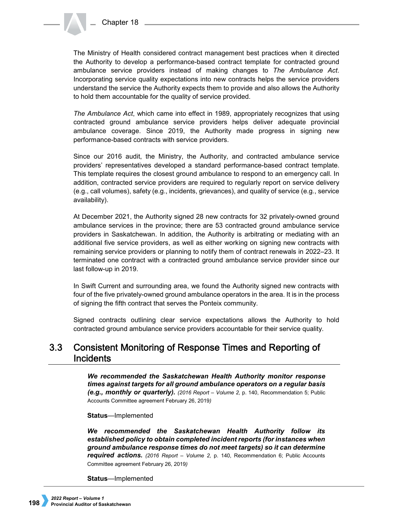The Ministry of Health considered contract management best practices when it directed the Authority to develop a performance-based contract template for contracted ground ambulance service providers instead of making changes to *The Ambulance Act*. Incorporating service quality expectations into new contracts helps the service providers understand the service the Authority expects them to provide and also allows the Authority to hold them accountable for the quality of service provided.

*The Ambulance Act*, which came into effect in 1989, appropriately recognizes that using contracted ground ambulance service providers helps deliver adequate provincial ambulance coverage. Since 2019, the Authority made progress in signing new performance-based contracts with service providers.

Since our 2016 audit, the Ministry, the Authority, and contracted ambulance service providers' representatives developed a standard performance-based contract template. This template requires the closest ground ambulance to respond to an emergency call. In addition, contracted service providers are required to regularly report on service delivery (e.g., call volumes), safety (e.g., incidents, grievances), and quality of service (e.g., service availability).

At December 2021, the Authority signed 28 new contracts for 32 privately-owned ground ambulance services in the province; there are 53 contracted ground ambulance service providers in Saskatchewan. In addition, the Authority is arbitrating or mediating with an additional five service providers, as well as either working on signing new contracts with remaining service providers or planning to notify them of contract renewals in 2022–23. It terminated one contract with a contracted ground ambulance service provider since our last follow-up in 2019.

In Swift Current and surrounding area, we found the Authority signed new contracts with four of the five privately-owned ground ambulance operators in the area. It is in the process of signing the fifth contract that serves the Ponteix community.

Signed contracts outlining clear service expectations allows the Authority to hold contracted ground ambulance service providers accountable for their service quality.

## $3.3<sub>2</sub>$ **Consistent Monitoring of Response Times and Reporting of Incidents**

*We recommended the Saskatchewan Health Authority monitor response times against targets for all ground ambulance operators on a regular basis (e.g., monthly or quarterly). (2016 Report – Volume 2, p. 140, Recommendation 5; Public* Accounts Committee agreement February 26, 2019*)*

## **Status**—Implemented

*We recommended the Saskatchewan Health Authority follow its established policy to obtain completed incident reports (for instances when ground ambulance response times do not meet targets) so it can determine required actions. (2016 Report – Volume 2,* p. 140, Recommendation 6; Public Accounts Committee agreement February 26, 2019*)* 

**Status**—Implemented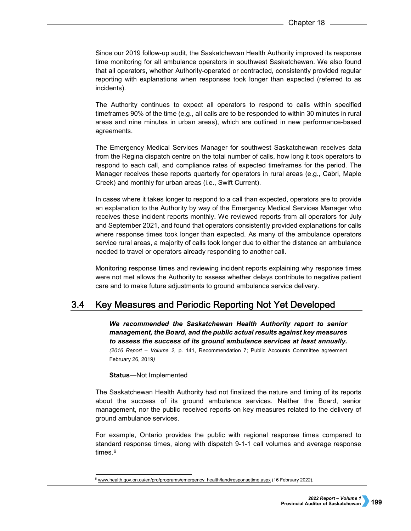Since our 2019 follow-up audit, the Saskatchewan Health Authority improved its response time monitoring for all ambulance operators in southwest Saskatchewan. We also found that all operators, whether Authority-operated or contracted, consistently provided regular reporting with explanations when responses took longer than expected (referred to as incidents).

The Authority continues to expect all operators to respond to calls within specified timeframes 90% of the time (e.g., all calls are to be responded to within 30 minutes in rural areas and nine minutes in urban areas), which are outlined in new performance-based agreements.

The Emergency Medical Services Manager for southwest Saskatchewan receives data from the Regina dispatch centre on the total number of calls, how long it took operators to respond to each call, and compliance rates of expected timeframes for the period. The Manager receives these reports quarterly for operators in rural areas (e.g., Cabri, Maple Creek) and monthly for urban areas (i.e., Swift Current).

In cases where it takes longer to respond to a call than expected, operators are to provide an explanation to the Authority by way of the Emergency Medical Services Manager who receives these incident reports monthly. We reviewed reports from all operators for July and September 2021, and found that operators consistently provided explanations for calls where response times took longer than expected. As many of the ambulance operators service rural areas, a majority of calls took longer due to either the distance an ambulance needed to travel or operators already responding to another call.

Monitoring response times and reviewing incident reports explaining why response times were not met allows the Authority to assess whether delays contribute to negative patient care and to make future adjustments to ground ambulance service delivery.

#### $3.4<sup>°</sup>$ Key Measures and Periodic Reporting Not Yet Developed

*We recommended the Saskatchewan Health Authority report to senior management, the Board, and the public actual results against key measures to assess the success of its ground ambulance services at least annually. (2016 Report – Volume 2,* p. 141, Recommendation 7; Public Accounts Committee agreement February 26, 2019*)*

## **Status**—Not Implemented

The Saskatchewan Health Authority had not finalized the nature and timing of its reports about the success of its ground ambulance services. Neither the Board, senior management, nor the public received reports on key measures related to the delivery of ground ambulance services.

For example, Ontario provides the public with regional response times compared to standard response times, along with dispatch 9-1-1 call volumes and average response times.<sup>[6](#page-4-0)</sup>

<span id="page-4-0"></span><sup>6</sup> [www.health.gov.on.ca/en/pro/programs/emergency\\_health/land/responsetime.aspx](http://www.health.gov.on.ca/en/pro/programs/emergency_health/land/responsetime.aspx) (16 February 2022).